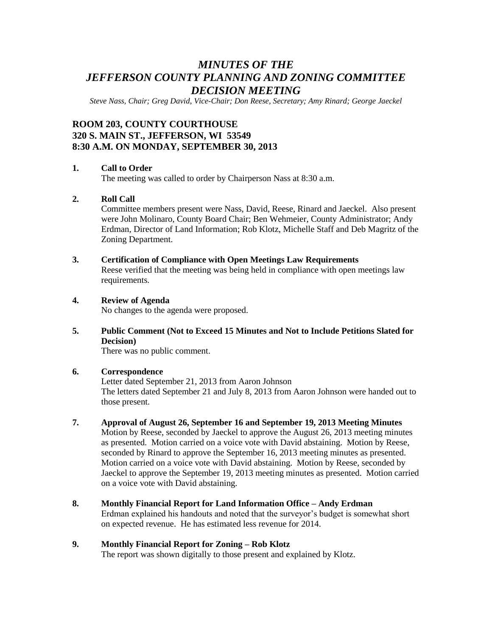# *MINUTES OF THE JEFFERSON COUNTY PLANNING AND ZONING COMMITTEE DECISION MEETING*

*Steve Nass, Chair; Greg David, Vice-Chair; Don Reese, Secretary; Amy Rinard; George Jaeckel*

# **ROOM 203, COUNTY COURTHOUSE 320 S. MAIN ST., JEFFERSON, WI 53549 8:30 A.M. ON MONDAY, SEPTEMBER 30, 2013**

### **1. Call to Order**

The meeting was called to order by Chairperson Nass at 8:30 a.m.

### **2. Roll Call**

Committee members present were Nass, David, Reese, Rinard and Jaeckel. Also present were John Molinaro, County Board Chair; Ben Wehmeier, County Administrator; Andy Erdman, Director of Land Information; Rob Klotz, Michelle Staff and Deb Magritz of the Zoning Department.

#### **3. Certification of Compliance with Open Meetings Law Requirements**

Reese verified that the meeting was being held in compliance with open meetings law requirements.

### **4. Review of Agenda**

No changes to the agenda were proposed.

**5. Public Comment (Not to Exceed 15 Minutes and Not to Include Petitions Slated for Decision)**

There was no public comment.

### **6. Correspondence**

Letter dated September 21, 2013 from Aaron Johnson The letters dated September 21 and July 8, 2013 from Aaron Johnson were handed out to those present.

### **7. Approval of August 26, September 16 and September 19, 2013 Meeting Minutes**

Motion by Reese, seconded by Jaeckel to approve the August 26, 2013 meeting minutes as presented. Motion carried on a voice vote with David abstaining. Motion by Reese, seconded by Rinard to approve the September 16, 2013 meeting minutes as presented. Motion carried on a voice vote with David abstaining. Motion by Reese, seconded by Jaeckel to approve the September 19, 2013 meeting minutes as presented. Motion carried on a voice vote with David abstaining.

**8. Monthly Financial Report for Land Information Office – Andy Erdman** Erdman explained his handouts and noted that the surveyor's budget is somewhat short on expected revenue. He has estimated less revenue for 2014.

# **9. Monthly Financial Report for Zoning – Rob Klotz**

The report was shown digitally to those present and explained by Klotz.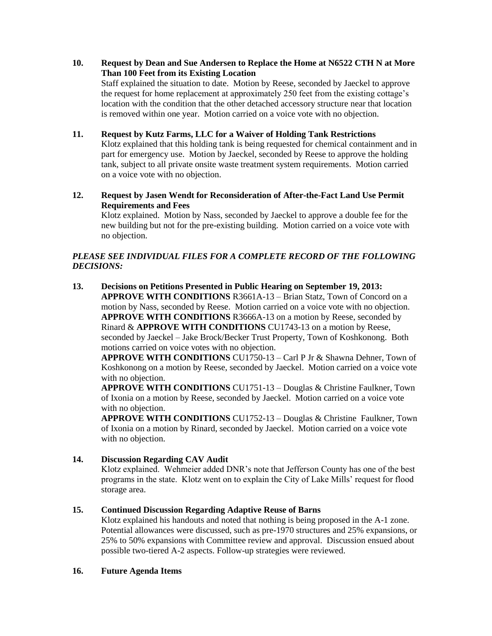**10. Request by Dean and Sue Andersen to Replace the Home at N6522 CTH N at More Than 100 Feet from its Existing Location**

Staff explained the situation to date. Motion by Reese, seconded by Jaeckel to approve the request for home replacement at approximately 250 feet from the existing cottage's location with the condition that the other detached accessory structure near that location is removed within one year. Motion carried on a voice vote with no objection.

### **11. Request by Kutz Farms, LLC for a Waiver of Holding Tank Restrictions**

Klotz explained that this holding tank is being requested for chemical containment and in part for emergency use. Motion by Jaeckel, seconded by Reese to approve the holding tank, subject to all private onsite waste treatment system requirements. Motion carried on a voice vote with no objection.

**12. Request by Jasen Wendt for Reconsideration of After-the-Fact Land Use Permit Requirements and Fees** 

Klotz explained. Motion by Nass, seconded by Jaeckel to approve a double fee for the new building but not for the pre-existing building. Motion carried on a voice vote with no objection.

## *PLEASE SEE INDIVIDUAL FILES FOR A COMPLETE RECORD OF THE FOLLOWING DECISIONS:*

**13. Decisions on Petitions Presented in Public Hearing on September 19, 2013: APPROVE WITH CONDITIONS** R3661A-13 – Brian Statz, Town of Concord on a motion by Nass, seconded by Reese. Motion carried on a voice vote with no objection. **APPROVE WITH CONDITIONS** R3666A-13 on a motion by Reese, seconded by Rinard & **APPROVE WITH CONDITIONS** CU1743-13 on a motion by Reese, seconded by Jaeckel – Jake Brock/Becker Trust Property, Town of Koshkonong. Both motions carried on voice votes with no objection.

**APPROVE WITH CONDITIONS** CU1750-13 – Carl P Jr & Shawna Dehner, Town of Koshkonong on a motion by Reese, seconded by Jaeckel. Motion carried on a voice vote with no objection.

**APPROVE WITH CONDITIONS** CU1751-13 – Douglas & Christine Faulkner, Town of Ixonia on a motion by Reese, seconded by Jaeckel. Motion carried on a voice vote with no objection.

**APPROVE WITH CONDITIONS** CU1752-13 – Douglas & Christine Faulkner, Town of Ixonia on a motion by Rinard, seconded by Jaeckel. Motion carried on a voice vote with no objection.

### **14. Discussion Regarding CAV Audit**

Klotz explained. Wehmeier added DNR's note that Jefferson County has one of the best programs in the state. Klotz went on to explain the City of Lake Mills' request for flood storage area.

### **15. Continued Discussion Regarding Adaptive Reuse of Barns**

Klotz explained his handouts and noted that nothing is being proposed in the A-1 zone. Potential allowances were discussed, such as pre-1970 structures and 25% expansions, or 25% to 50% expansions with Committee review and approval. Discussion ensued about possible two-tiered A-2 aspects. Follow-up strategies were reviewed.

### **16. Future Agenda Items**